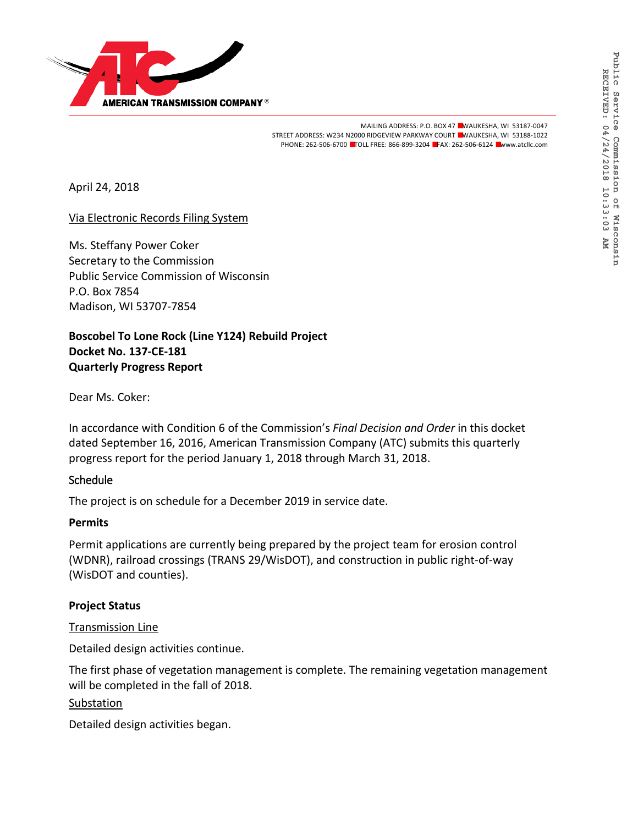

MAILING ADDRESS: P.O. BOX 47 ■WAUKESHA, WI 53187-0047 STREET ADDRESS: W234 N2000 RIDGEVIEW PARKWAY COURT ■WAUKESHA, WI 53188-1022 PHONE: 262-506-6700 ■TOLL FREE: 866-899-3204 ■FAX: 262-506-6124 ■www.atcllc.com

April 24, 2018

Via Electronic Records Filing System

Ms. Steffany Power Coker Secretary to the Commission Public Service Commission of Wisconsin P.O. Box 7854 Madison, WI 53707-7854

**Boscobel To Lone Rock (Line Y124) Rebuild Project Docket No. 137-CE-181 Quarterly Progress Report**

Dear Ms. Coker:

In accordance with Condition 6 of the Commission's *Final Decision and Order* in this docket dated September 16, 2016, American Transmission Company (ATC) submits this quarterly progress report for the period January 1, 2018 through March 31, 2018.

#### **Schedule**

The project is on schedule for a December 2019 in service date.

#### **Permits**

Permit applications are currently being prepared by the project team for erosion control (WDNR), railroad crossings (TRANS 29/WisDOT), and construction in public right-of-way (WisDOT and counties).

## **Project Status**

Transmission Line

Detailed design activities continue.

The first phase of vegetation management is complete. The remaining vegetation management will be completed in the fall of 2018.

#### **Substation**

Detailed design activities began.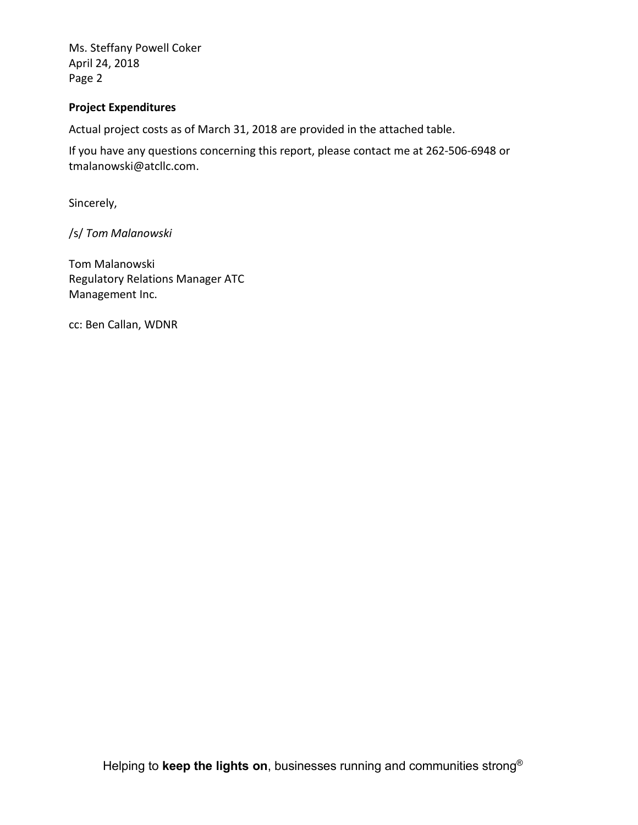Ms. Steffany Powell Coker April 24, 2018 Page 2

### **Project Expenditures**

Actual project costs as of March 31, 2018 are provided in the attached table.

If you have any questions concerning this report, please contact me at 262-506-6948 or tmalanowski@atcllc.com.

Sincerely,

/s/ *Tom Malanowski*

Tom Malanowski Regulatory Relations Manager ATC Management Inc.

cc: Ben Callan, WDNR